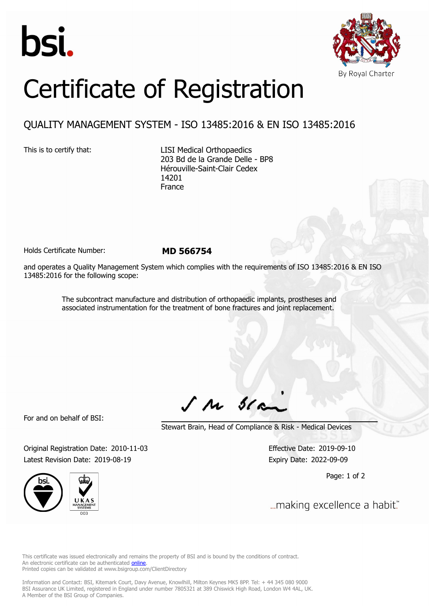



## Certificate of Registration

## QUALITY MANAGEMENT SYSTEM - ISO 13485:2016 & EN ISO 13485:2016

This is to certify that: LISI Medical Orthopaedics 203 Bd de la Grande Delle - BP8 Hérouville-Saint-Clair Cedex 14201 France

Holds Certificate Number: **MD 566754**

and operates a Quality Management System which complies with the requirements of ISO 13485:2016 & EN ISO 13485:2016 for the following scope:

> The subcontract manufacture and distribution of orthopaedic implants, prostheses and associated instrumentation for the treatment of bone fractures and joint replacement.

For and on behalf of BSI:

 $J$   $M$   $31$ 

Stewart Brain, Head of Compliance & Risk - Medical Devices

Original Registration Date: 2010-11-03 Effective Date: 2019-09-10 Latest Revision Date: 2019-08-19 **Expiry Date: 2022-09-09** 



Page: 1 of 2

... making excellence a habit."

This certificate was issued electronically and remains the property of BSI and is bound by the conditions of contract. An electronic certificate can be authenticated **[online](https://pgplus.bsigroup.com/CertificateValidation/CertificateValidator.aspx?CertificateNumber=MD+566754&ReIssueDate=19%2f08%2f2019&Template=uk)**. Printed copies can be validated at www.bsigroup.com/ClientDirectory

Information and Contact: BSI, Kitemark Court, Davy Avenue, Knowlhill, Milton Keynes MK5 8PP. Tel: + 44 345 080 9000 BSI Assurance UK Limited, registered in England under number 7805321 at 389 Chiswick High Road, London W4 4AL, UK. A Member of the BSI Group of Companies.